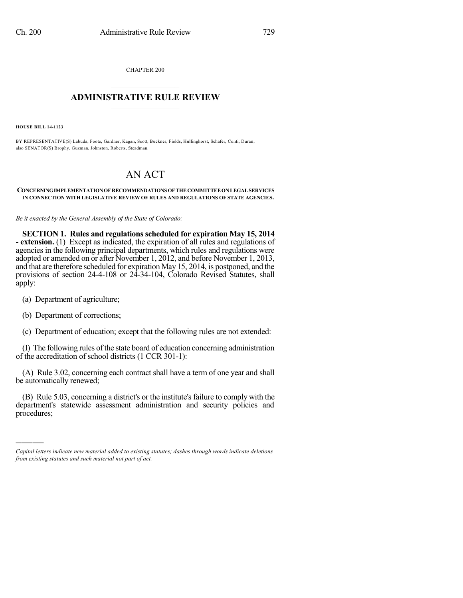CHAPTER 200  $\mathcal{L}_\text{max}$  . The set of the set of the set of the set of the set of the set of the set of the set of the set of the set of the set of the set of the set of the set of the set of the set of the set of the set of the set

## **ADMINISTRATIVE RULE REVIEW**  $\_$

**HOUSE BILL 14-1123**

BY REPRESENTATIVE(S) Labuda, Foote, Gardner, Kagan, Scott, Buckner, Fields, Hullinghorst, Schafer, Conti, Duran; also SENATOR(S) Brophy, Guzman, Johnston, Roberts, Steadman.

## AN ACT

## **CONCERNINGIMPLEMENTATIONOFRECOMMENDATIONS OFTHECOMMITTEEONLEGALSERVICES IN CONNECTION WITH LEGISLATIVE REVIEW OF RULES AND REGULATIONS OF STATE AGENCIES.**

*Be it enacted by the General Assembly of the State of Colorado:*

**SECTION 1. Rules and regulations scheduled for expiration May 15, 2014 - extension.** (1) Except as indicated, the expiration of all rules and regulations of agencies in the following principal departments, which rules and regulations were adopted or amended on or after November 1, 2012, and before November 1, 2013, and that are therefore scheduled for expiration May 15, 2014, is postponed, and the provisions of section 24-4-108 or 24-34-104, Colorado Revised Statutes, shall apply:

(a) Department of agriculture;

(b) Department of corrections;

)))))

(c) Department of education; except that the following rules are not extended:

(I) The following rules of the state board of education concerning administration of the accreditation of school districts (1 CCR 301-1):

(A) Rule 3.02, concerning each contract shall have a term of one year and shall be automatically renewed;

(B) Rule 5.03, concerning a district's or the institute's failure to comply with the department's statewide assessment administration and security policies and procedures;

*Capital letters indicate new material added to existing statutes; dashes through words indicate deletions from existing statutes and such material not part of act.*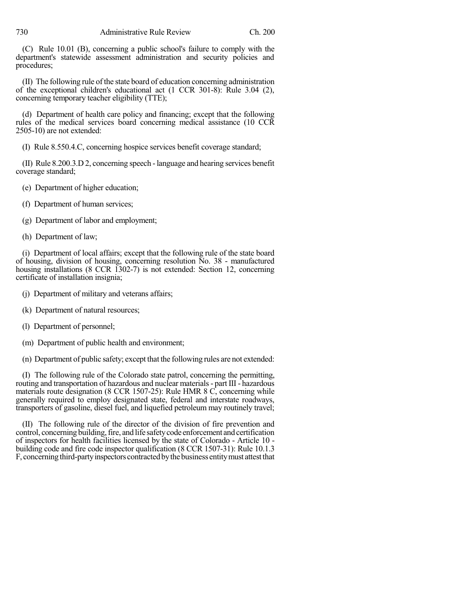(C) Rule 10.01 (B), concerning a public school's failure to comply with the department's statewide assessment administration and security policies and procedures;

(II) The following rule ofthe state board of education concerning administration of the exceptional children's educational act (1 CCR 301-8): Rule 3.04 (2), concerning temporary teacher eligibility (TTE);

(d) Department of health care policy and financing; except that the following rules of the medical services board concerning medical assistance (10 CCR 2505-10) are not extended:

(I) Rule 8.550.4.C, concerning hospice services benefit coverage standard;

(II) Rule 8.200.3.D 2, concerning speech -language and hearing services benefit coverage standard;

- (e) Department of higher education;
- (f) Department of human services;
- (g) Department of labor and employment;
- (h) Department of law;

(i) Department of local affairs; except that the following rule of the state board of housing, division of housing, concerning resolution No. 38 - manufactured housing installations (8 CCR 1302-7) is not extended: Section 12, concerning certificate of installation insignia;

- (j) Department of military and veterans affairs;
- (k) Department of natural resources;
- (l) Department of personnel;
- (m) Department of public health and environment;

(n) Department of public safety; except that the following rules are not extended:

(I) The following rule of the Colorado state patrol, concerning the permitting, routing and transportation of hazardous and nuclear materials- part III - hazardous materials route designation (8 CCR 1507-25): Rule HMR 8 C, concerning while generally required to employ designated state, federal and interstate roadways, transporters of gasoline, diesel fuel, and liquefied petroleum may routinely travel;

(II) The following rule of the director of the division of fire prevention and control, concerning building, fire, and life safety code enforcement and certification of inspectors for health facilities licensed by the state of Colorado - Article 10 building code and fire code inspector qualification (8 CCR 1507-31): Rule 10.1.3 F, concerning third-party inspectors contracted by the business entity must attest that